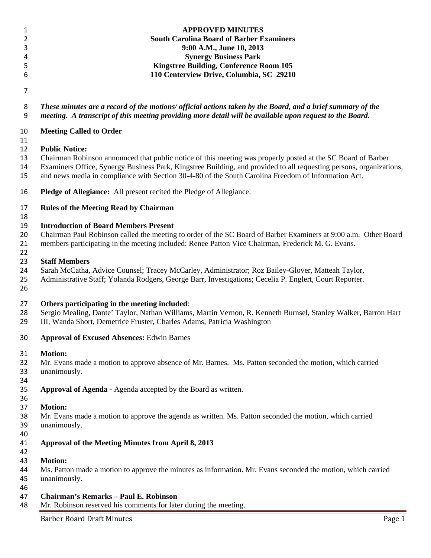| 1<br>$\overline{2}$                                                                                                   | <b>APPROVED MINUTES</b><br><b>South Carolina Board of Barber Examiners</b>                                                                                                                                                 |  |  |  |  |
|-----------------------------------------------------------------------------------------------------------------------|----------------------------------------------------------------------------------------------------------------------------------------------------------------------------------------------------------------------------|--|--|--|--|
| 3                                                                                                                     | 9:00 A.M., June 10, 2013                                                                                                                                                                                                   |  |  |  |  |
| 4                                                                                                                     | <b>Synergy Business Park</b>                                                                                                                                                                                               |  |  |  |  |
| 5                                                                                                                     | <b>Kingstree Building, Conference Room 105</b>                                                                                                                                                                             |  |  |  |  |
| 6                                                                                                                     | 110 Centerview Drive, Columbia, SC 29210                                                                                                                                                                                   |  |  |  |  |
| $\overline{7}$                                                                                                        |                                                                                                                                                                                                                            |  |  |  |  |
| 8                                                                                                                     | These minutes are a record of the motions/ official actions taken by the Board, and a brief summary of the                                                                                                                 |  |  |  |  |
| 9                                                                                                                     | meeting. A transcript of this meeting providing more detail will be available upon request to the Board.                                                                                                                   |  |  |  |  |
| 10<br>11                                                                                                              | <b>Meeting Called to Order</b>                                                                                                                                                                                             |  |  |  |  |
| 12                                                                                                                    | <b>Public Notice:</b>                                                                                                                                                                                                      |  |  |  |  |
| 13                                                                                                                    | Chairman Robinson announced that public notice of this meeting was properly posted at the SC Board of Barber                                                                                                               |  |  |  |  |
| 14<br>15                                                                                                              | Examiners Office, Synergy Business Park, Kingstree Building, and provided to all requesting persons, organizations,<br>and news media in compliance with Section 30-4-80 of the South Carolina Freedom of Information Act. |  |  |  |  |
| 16                                                                                                                    | Pledge of Allegiance: All present recited the Pledge of Allegiance.                                                                                                                                                        |  |  |  |  |
| 17<br>18                                                                                                              | <b>Rules of the Meeting Read by Chairman</b>                                                                                                                                                                               |  |  |  |  |
| 19                                                                                                                    | <b>Introduction of Board Members Present</b>                                                                                                                                                                               |  |  |  |  |
| 20<br>Chairman Paul Robinson called the meeting to order of the SC Board of Barber Examiners at 9:00 a.m. Other Board |                                                                                                                                                                                                                            |  |  |  |  |
| 21<br>22                                                                                                              | members participating in the meeting included: Renee Patton Vice Chairman, Frederick M. G. Evans.                                                                                                                          |  |  |  |  |
| 23                                                                                                                    | <b>Staff Members</b>                                                                                                                                                                                                       |  |  |  |  |
| 24                                                                                                                    | Sarah McCatha, Advice Counsel; Tracey McCarley, Administrator; Roz Bailey-Glover, Matteah Taylor,                                                                                                                          |  |  |  |  |
| 25<br>26                                                                                                              | Administrative Staff; Yolanda Rodgers, George Barr, Investigations; Cecelia P. Englert, Court Reporter.                                                                                                                    |  |  |  |  |
| 27                                                                                                                    | Others participating in the meeting included:                                                                                                                                                                              |  |  |  |  |
| 28<br>29                                                                                                              | Sergio Mealing, Dante' Taylor, Nathan Williams, Martin Vernon, R. Kenneth Burnsel, Stanley Walker, Barron Hart<br>III, Wanda Short, Demetrice Fruster, Charles Adams, Patricia Washington                                  |  |  |  |  |
| 30                                                                                                                    | <b>Approval of Excused Absences: Edwin Barnes</b>                                                                                                                                                                          |  |  |  |  |
| 31                                                                                                                    | <b>Motion:</b>                                                                                                                                                                                                             |  |  |  |  |
| 32                                                                                                                    | Mr. Evans made a motion to approve absence of Mr. Barnes. Ms. Patton seconded the motion, which carried                                                                                                                    |  |  |  |  |
| 33                                                                                                                    | unanimously.                                                                                                                                                                                                               |  |  |  |  |
| 34<br>35                                                                                                              | Approval of Agenda - Agenda accepted by the Board as written.                                                                                                                                                              |  |  |  |  |
| 36                                                                                                                    |                                                                                                                                                                                                                            |  |  |  |  |
| 37                                                                                                                    | <b>Motion:</b>                                                                                                                                                                                                             |  |  |  |  |
| 38                                                                                                                    | Mr. Evans made a motion to approve the agenda as written. Ms. Patton seconded the motion, which carried                                                                                                                    |  |  |  |  |
| 39                                                                                                                    | unanimously.                                                                                                                                                                                                               |  |  |  |  |
| 40                                                                                                                    |                                                                                                                                                                                                                            |  |  |  |  |
| 41<br>42                                                                                                              | Approval of the Meeting Minutes from April 8, 2013                                                                                                                                                                         |  |  |  |  |
| 43                                                                                                                    | <b>Motion:</b>                                                                                                                                                                                                             |  |  |  |  |
| 44                                                                                                                    | Ms. Patton made a motion to approve the minutes as information. Mr. Evans seconded the motion, which carried                                                                                                               |  |  |  |  |
| 45<br>46                                                                                                              | unanimously.                                                                                                                                                                                                               |  |  |  |  |
| 47                                                                                                                    | <b>Chairman's Remarks - Paul E. Robinson</b>                                                                                                                                                                               |  |  |  |  |
| 48                                                                                                                    | Mr. Robinson reserved his comments for later during the meeting.                                                                                                                                                           |  |  |  |  |
|                                                                                                                       | <b>Barber Board Draft Minutes</b><br>Page 1                                                                                                                                                                                |  |  |  |  |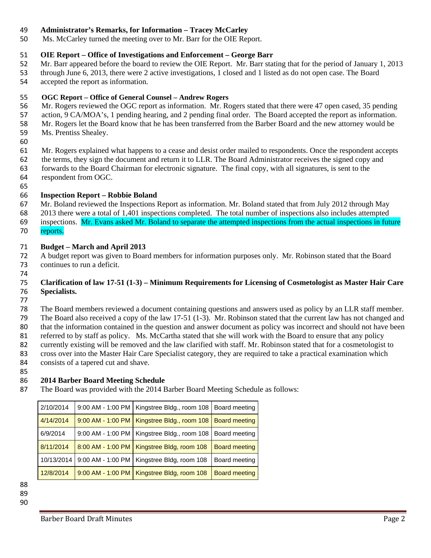### **Administrator's Remarks, for Information – Tracey McCarley**

Ms. McCarley turned the meeting over to Mr. Barr for the OIE Report.

### **OIE Report – Office of Investigations and Enforcement – George Barr**

- Mr. Barr appeared before the board to review the OIE Report. Mr. Barr stating that for the period of January 1, 2013 through June 6, 2013, there were 2 active investigations, 1 closed and 1 listed as do not open case. The Board
- accepted the report as information.
- **OGC Report – Office of General Counsel – Andrew Rogers**
- Mr. Rogers reviewed the OGC report as information. Mr. Rogers stated that there were 47 open cased, 35 pending
- action, 9 CA/MOA's, 1 pending hearing, and 2 pending final order. The Board accepted the report as information.
- Mr. Rogers let the Board know that he has been transferred from the Barber Board and the new attorney would be
- Ms. Prentiss Shealey.
- 

Mr. Rogers explained what happens to a cease and desist order mailed to respondents. Once the respondent accepts

- the terms, they sign the document and return it to LLR. The Board Administrator receives the signed copy and
- forwards to the Board Chairman for electronic signature. The final copy, with all signatures, is sent to the respondent from OGC.
- 

### **Inspection Report – Robbie Boland**

 Mr. Boland reviewed the Inspections Report as information. Mr. Boland stated that from July 2012 through May 2013 there were a total of 1,401 inspections completed. The total number of inspections also includes attempted inspections. Mr. Evans asked Mr. Boland to separate the attempted inspections from the actual inspections in future 70 reports.

### **Budget – March and April 2013**

 A budget report was given to Board members for information purposes only. Mr. Robinson stated that the Board continues to run a deficit.

### 

### **Clarification of law 17-51 (1-3) – Minimum Requirements for Licensing of Cosmetologist as Master Hair Care Specialists.**

 The Board members reviewed a document containing questions and answers used as policy by an LLR staff member. The Board also received a copy of the law 17-51 (1-3). Mr. Robinson stated that the current law has not changed and that the information contained in the question and answer document as policy was incorrect and should not have been 81 referred to by staff as policy. Ms. McCartha stated that she will work with the Board to ensure that any policy<br>82 currently existing will be removed and the law clarified with staff. Mr. Robinson stated that for a cosm currently existing will be removed and the law clarified with staff. Mr. Robinson stated that for a cosmetologist to cross over into the Master Hair Care Specialist category, they are required to take a practical examination which consists of a tapered cut and shave.

### **2014 Barber Board Meeting Schedule**

The Board was provided with the 2014 Barber Board Meeting Schedule as follows:

|  | 2/10/2014  | 9:00 AM - 1:00 PM   Kingstree Bldg., room 108                 | Board meeting        |
|--|------------|---------------------------------------------------------------|----------------------|
|  | 4/14/2014  | 9:00 AM - 1:00 PM   Kingstree Bldg., room 108   Board meeting |                      |
|  | 6/9/2014   | 9:00 AM - 1:00 PM   Kingstree Bldg., room 108                 | Board meeting        |
|  | 8/11/2014  | 8:00 AM - 1:00 PM   Kingstree Bldg, room 108                  | <b>Board meeting</b> |
|  | 10/13/2014 | 9:00 AM - 1:00 PM   Kingstree Bldg, room 108                  | Board meeting        |
|  | 12/8/2014  | 9:00 AM - 1:00 PM   Kingstree Bldg, room 108                  | <b>Board meeting</b> |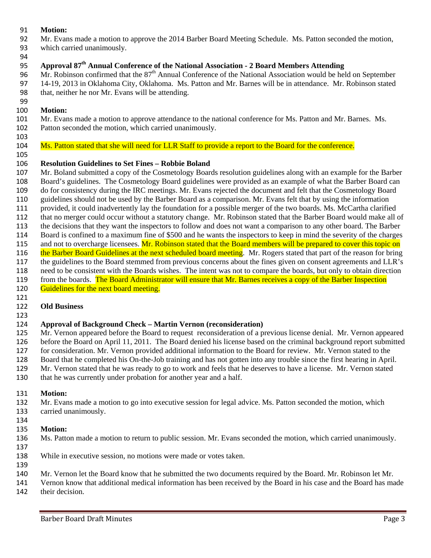### **Motion:**

- Mr. Evans made a motion to approve the 2014 Barber Board Meeting Schedule. Ms. Patton seconded the motion,
- which carried unanimously.
- **Approval 87th Annual Conference of the National Association - 2 Board Members Attending**

96 Mr. Robinson confirmed that the  $87<sup>th</sup>$  Annual Conference of the National Association would be held on September 14-19, 2013 in Oklahoma City, Oklahoma. Ms. Patton and Mr. Barnes will be in attendance. Mr. Robinson stated that, neither he nor Mr. Evans will be attending.

## **Motion:**

# Mr. Evans made a motion to approve attendance to the national conference for Ms. Patton and Mr. Barnes. Ms.

- Patton seconded the motion, which carried unanimously.
- 

104 Ms. Patton stated that she will need for LLR Staff to provide a report to the Board for the conference.

## **Resolution Guidelines to Set Fines – Robbie Boland**

 Mr. Boland submitted a copy of the Cosmetology Boards resolution guidelines along with an example for the Barber Board's guidelines. The Cosmetology Board guidelines were provided as an example of what the Barber Board can do for consistency during the IRC meetings. Mr. Evans rejected the document and felt that the Cosmetology Board guidelines should not be used by the Barber Board as a comparison. Mr. Evans felt that by using the information provided, it could inadvertently lay the foundation for a possible merger of the two boards. Ms. McCartha clarified that no merger could occur without a statutory change. Mr. Robinson stated that the Barber Board would make all of the decisions that they want the inspectors to follow and does not want a comparison to any other board. The Barber

- Board is confined to a maximum fine of \$500 and he wants the inspectors to keep in mind the severity of the charges
- 115 and not to overcharge licensees. Mr. Robinson stated that the Board members will be prepared to cover this topic on
- 116 the Barber Board Guidelines at the next scheduled board meeting. Mr. Rogers stated that part of the reason for bring
- the guidelines to the Board stemmed from previous concerns about the fines given on consent agreements and LLR's
- need to be consistent with the Boards wishes. The intent was not to compare the boards, but only to obtain direction 119 from the boards. The Board Administrator will ensure that Mr. Barnes receives a copy of the Barber Inspection
- 120 Guidelines for the next board meeting.
- 

# **Old Business**

# **Approval of Background Check – Martin Vernon (reconsideration)**

 Mr. Vernon appeared before the Board to request reconsideration of a previous license denial. Mr. Vernon appeared before the Board on April 11, 2011. The Board denied his license based on the criminal background report submitted for consideration. Mr. Vernon provided additional information to the Board for review. Mr. Vernon stated to the Board that he completed his On-the-Job training and has not gotten into any trouble since the first hearing in April. Mr. Vernon stated that he was ready to go to work and feels that he deserves to have a license. Mr. Vernon stated

that he was currently under probation for another year and a half.

# **Motion:**

- Mr. Evans made a motion to go into executive session for legal advice. Ms. Patton seconded the motion, which carried unanimously.
- 

# **Motion:**

- Ms. Patton made a motion to return to public session. Mr. Evans seconded the motion, which carried unanimously.
- 
- While in executive session, no motions were made or votes taken.
- Mr. Vernon let the Board know that he submitted the two documents required by the Board. Mr. Robinson let Mr.

 Vernon know that additional medical information has been received by the Board in his case and the Board has made their decision.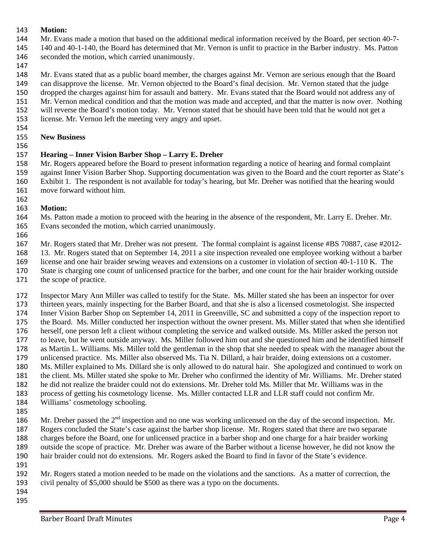### **Motion:**

- Mr. Evans made a motion that based on the additional medical information received by the Board, per section 40-7-
- 140 and 40-1-140, the Board has determined that Mr. Vernon is unfit to practice in the Barber industry. Ms. Patton seconded the motion, which carried unanimously.
- 

Mr. Evans stated that as a public board member, the charges against Mr. Vernon are serious enough that the Board

can disapprove the license. Mr. Vernon objected to the Board's final decision. Mr. Vernon stated that the judge

 dropped the charges against him for assault and battery. Mr. Evans stated that the Board would not address any of Mr. Vernon medical condition and that the motion was made and accepted, and that the matter is now over. Nothing

will reverse the Board's motion today. Mr. Vernon stated that he should have been told that he would not get a

license. Mr. Vernon left the meeting very angry and upset.

#### **New Business**

# **Hearing – Inner Vision Barber Shop – Larry E. Dreher**

 Mr. Rogers appeared before the Board to present information regarding a notice of hearing and formal complaint against Inner Vision Barber Shop. Supporting documentation was given to the Board and the court reporter as State's Exhibit 1. The respondent is not available for today's hearing, but Mr. Dreher was notified that the hearing would move forward without him.

#### **Motion:**

 Ms. Patton made a motion to proceed with the hearing in the absence of the respondent, Mr. Larry E. Dreher. Mr. Evans seconded the motion, which carried unanimously.

 Mr. Rogers stated that Mr. Dreher was not present. The formal complaint is against license #BS 70887, case #2012- 13. Mr. Rogers stated that on September 14, 2011 a site inspection revealed one employee working without a barber license and one hair braider sewing weaves and extensions on a customer in violation of section 40-1-110 K. The State is charging one count of unlicensed practice for the barber, and one count for the hair braider working outside the scope of practice.

- Inspector Mary Ann Miller was called to testify for the State. Ms. Miller stated she has been an inspector for over thirteen years, mainly inspecting for the Barber Board, and that she is also a licensed cosmetologist. She inspected Inner Vision Barber Shop on September 14, 2011 in Greenville, SC and submitted a copy of the inspection report to the Board. Ms. Miller conducted her inspection without the owner present. Ms. Miller stated that when she identified herself, one person left a client without completing the service and walked outside. Ms. Miller asked the person not to leave, but he went outside anyway. Ms. Miller followed him out and she questioned him and he identified himself as Martin L. Williams. Ms. Miller told the gentleman in the shop that she needed to speak with the manager about the unlicensed practice. Ms. Miller also observed Ms. Tia N. Dillard, a hair braider, doing extensions on a customer. Ms. Miller explained to Ms. Dillard she is only allowed to do natural hair. She apologized and continued to work on the client. Ms. Miller stated she spoke to Mr. Dreher who confirmed the identity of Mr. Williams. Mr. Dreher stated he did not realize the braider could not do extensions. Mr. Dreher told Ms. Miller that Mr. Williams was in the process of getting his cosmetology license. Ms. Miller contacted LLR and LLR staff could not confirm Mr. Williams' cosmetology schooling.
- 

186 Mr. Dreher passed the  $2<sup>nd</sup>$  inspection and no one was working unlicensed on the day of the second inspection. Mr. Rogers concluded the State's case against the barber shop license. Mr. Rogers stated that there are two separate charges before the Board, one for unlicensed practice in a barber shop and one charge for a hair braider working outside the scope of practice. Mr. Dreher was aware of the Barber without a license however, he did not know the hair braider could not do extensions. Mr. Rogers asked the Board to find in favor of the State's evidence. 

 Mr. Rogers stated a motion needed to be made on the violations and the sanctions. As a matter of correction, the civil penalty of \$5,000 should be \$500 as there was a typo on the documents.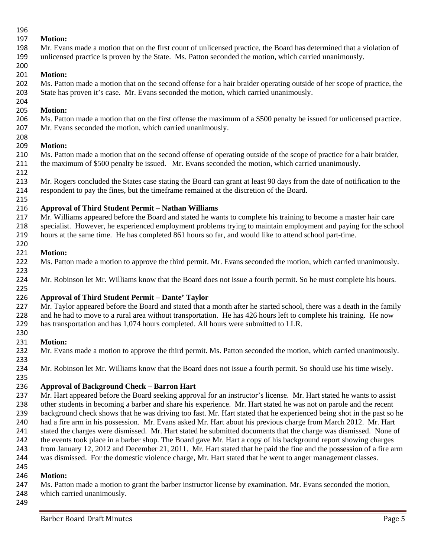### 

## **Motion:**

 Mr. Evans made a motion that on the first count of unlicensed practice, the Board has determined that a violation of unlicensed practice is proven by the State. Ms. Patton seconded the motion, which carried unanimously.

#### **Motion:**

 Ms. Patton made a motion that on the second offense for a hair braider operating outside of her scope of practice, the State has proven it's case. Mr. Evans seconded the motion, which carried unanimously.

#### **Motion:**

 Ms. Patton made a motion that on the first offense the maximum of a \$500 penalty be issued for unlicensed practice. Mr. Evans seconded the motion, which carried unanimously.

## **Motion:**

 Ms. Patton made a motion that on the second offense of operating outside of the scope of practice for a hair braider, the maximum of \$500 penalty be issued. Mr. Evans seconded the motion, which carried unanimously.

 Mr. Rogers concluded the States case stating the Board can grant at least 90 days from the date of notification to the respondent to pay the fines, but the timeframe remained at the discretion of the Board.

## **Approval of Third Student Permit – Nathan Williams**

 Mr. Williams appeared before the Board and stated he wants to complete his training to become a master hair care specialist. However, he experienced employment problems trying to maintain employment and paying for the school hours at the same time. He has completed 861 hours so far, and would like to attend school part-time.

#### **Motion:**

Ms. Patton made a motion to approve the third permit. Mr. Evans seconded the motion, which carried unanimously.

 Mr. Robinson let Mr. Williams know that the Board does not issue a fourth permit. So he must complete his hours.

## **Approval of Third Student Permit – Dante' Taylor**

 Mr. Taylor appeared before the Board and stated that a month after he started school, there was a death in the family 228 and he had to move to a rural area without transportation. He has 426 hours left to complete his training. He now has transportation and has 1,074 hours completed. All hours were submitted to LLR.

## **Motion:**

Mr. Evans made a motion to approve the third permit. Ms. Patton seconded the motion, which carried unanimously.

 Mr. Robinson let Mr. Williams know that the Board does not issue a fourth permit. So should use his time wisely.

## **Approval of Background Check – Barron Hart**

 Mr. Hart appeared before the Board seeking approval for an instructor's license. Mr. Hart stated he wants to assist other students in becoming a barber and share his experience. Mr. Hart stated he was not on parole and the recent background check shows that he was driving too fast. Mr. Hart stated that he experienced being shot in the past so he had a fire arm in his possession. Mr. Evans asked Mr. Hart about his previous charge from March 2012. Mr. Hart stated the charges were dismissed. Mr. Hart stated he submitted documents that the charge was dismissed. None of 242 the events took place in a barber shop. The Board gave Mr. Hart a copy of his background report showing charges from January 12, 2012 and December 21, 2011. Mr. Hart stated that he paid the fine and the possession of a fire arm was dismissed. For the domestic violence charge, Mr. Hart stated that he went to anger management classes. 

## **Motion:**

 Ms. Patton made a motion to grant the barber instructor license by examination. Mr. Evans seconded the motion, which carried unanimously.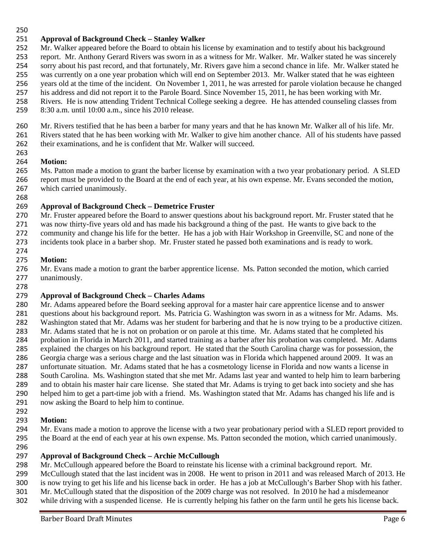### **Approval of Background Check – Stanley Walker**

 Mr. Walker appeared before the Board to obtain his license by examination and to testify about his background report. Mr. Anthony Gerard Rivers was sworn in as a witness for Mr. Walker. Mr. Walker stated he was sincerely

sorry about his past record, and that fortunately, Mr. Rivers gave him a second chance in life. Mr. Walker stated he

was currently on a one year probation which will end on September 2013. Mr. Walker stated that he was eighteen

- years old at the time of the incident. On November 1, 2011, he was arrested for parole violation because he changed
- his address and did not report it to the Parole Board. Since November 15, 2011, he has been working with Mr. Rivers. He is now attending Trident Technical College seeking a degree. He has attended counseling classes from
- 8:30 a.m. until 10:00 a.m., since his 2010 release.

 Mr. Rivers testified that he has been a barber for many years and that he has known Mr. Walker all of his life. Mr. Rivers stated that he has been working with Mr. Walker to give him another chance. All of his students have passed

 their examinations, and he is confident that Mr. Walker will succeed. 

## **Motion:**

 Ms. Patton made a motion to grant the barber license by examination with a two year probationary period. A SLED report must be provided to the Board at the end of each year, at his own expense. Mr. Evans seconded the motion, which carried unanimously.

## **Approval of Background Check – Demetrice Fruster**

 Mr. Fruster appeared before the Board to answer questions about his background report. Mr. Fruster stated that he was now thirty-five years old and has made his background a thing of the past. He wants to give back to the community and change his life for the better. He has a job with Hair Workshop in Greenville, SC and none of the

incidents took place in a barber shop. Mr. Fruster stated he passed both examinations and is ready to work.

## **Motion:**

 Mr. Evans made a motion to grant the barber apprentice license. Ms. Patton seconded the motion, which carried unanimously.

## **Approval of Background Check – Charles Adams**

 Mr. Adams appeared before the Board seeking approval for a master hair care apprentice license and to answer questions about his background report. Ms. Patricia G. Washington was sworn in as a witness for Mr. Adams. Ms. Washington stated that Mr. Adams was her student for barbering and that he is now trying to be a productive citizen. Mr. Adams stated that he is not on probation or on parole at this time. Mr. Adams stated that he completed his probation in Florida in March 2011, and started training as a barber after his probation was completed. Mr. Adams explained the charges on his background report. He stated that the South Carolina charge was for possession, the Georgia charge was a serious charge and the last situation was in Florida which happened around 2009. It was an unfortunate situation. Mr. Adams stated that he has a cosmetology license in Florida and now wants a license in South Carolina. Ms. Washington stated that she met Mr. Adams last year and wanted to help him to learn barbering and to obtain his master hair care license. She stated that Mr. Adams is trying to get back into society and she has helped him to get a part-time job with a friend. Ms. Washington stated that Mr. Adams has changed his life and is now asking the Board to help him to continue.

## **Motion:**

- Mr. Evans made a motion to approve the license with a two year probationary period with a SLED report provided to the Board at the end of each year at his own expense. Ms. Patton seconded the motion, which carried unanimously.
- 

## **Approval of Background Check – Archie McCullough**

Mr. McCullough appeared before the Board to reinstate his license with a criminal background report. Mr.

McCullough stated that the last incident was in 2008. He went to prison in 2011 and was released March of 2013. He

- is now trying to get his life and his license back in order. He has a job at McCullough's Barber Shop with his father.
- Mr. McCullough stated that the disposition of the 2009 charge was not resolved. In 2010 he had a misdemeanor
- while driving with a suspended license. He is currently helping his father on the farm until he gets his license back.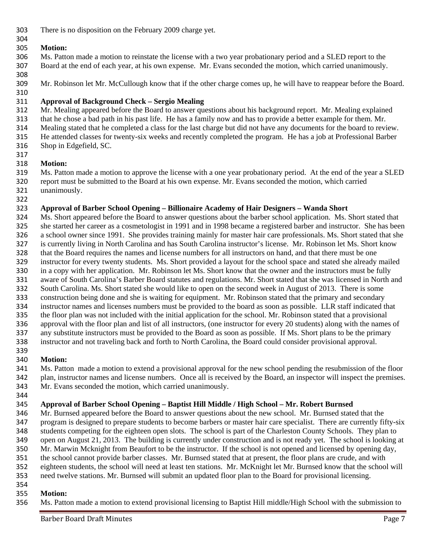There is no disposition on the February 2009 charge yet.

# 

## **Motion:**

- Ms. Patton made a motion to reinstate the license with a two year probationary period and a SLED report to the Board at the end of each year, at his own expense. Mr. Evans seconded the motion, which carried unanimously.
- 

Mr. Robinson let Mr. McCullough know that if the other charge comes up, he will have to reappear before the Board.

# **Approval of Background Check – Sergio Mealing**

Mr. Mealing appeared before the Board to answer questions about his background report. Mr. Mealing explained

that he chose a bad path in his past life. He has a family now and has to provide a better example for them. Mr.

Mealing stated that he completed a class for the last charge but did not have any documents for the board to review.

- He attended classes for twenty-six weeks and recently completed the program. He has a job at Professional Barber
- Shop in Edgefield, SC.
- 

# **Motion:**

 Ms. Patton made a motion to approve the license with a one year probationary period. At the end of the year a SLED report must be submitted to the Board at his own expense. Mr. Evans seconded the motion, which carried unanimously.

# **Approval of Barber School Opening – Billionaire Academy of Hair Designers – Wanda Short**

 Ms. Short appeared before the Board to answer questions about the barber school application. Ms. Short stated that she started her career as a cosmetologist in 1991 and in 1998 became a registered barber and instructor. She has been a school owner since 1991. She provides training mainly for master hair care professionals. Ms. Short stated that she is currently living in North Carolina and has South Carolina instructor's license. Mr. Robinson let Ms. Short know that the Board requires the names and license numbers for all instructors on hand, and that there must be one instructor for every twenty students. Ms. Short provided a layout for the school space and stated she already mailed in a copy with her application. Mr. Robinson let Ms. Short know that the owner and the instructors must be fully aware of South Carolina's Barber Board statutes and regulations. Mr. Short stated that she was licensed in North and South Carolina. Ms. Short stated she would like to open on the second week in August of 2013. There is some construction being done and she is waiting for equipment. Mr. Robinson stated that the primary and secondary instructor names and licenses numbers must be provided to the board as soon as possible. LLR staff indicated that the floor plan was not included with the initial application for the school. Mr. Robinson stated that a provisional approval with the floor plan and list of all instructors, (one instructor for every 20 students) along with the names of any substitute instructors must be provided to the Board as soon as possible. If Ms. Short plans to be the primary instructor and not traveling back and forth to North Carolina, the Board could consider provisional approval. 

# **Motion:**

 Ms. Patton made a motion to extend a provisional approval for the new school pending the resubmission of the floor plan, instructor names and license numbers. Once all is received by the Board, an inspector will inspect the premises. Mr. Evans seconded the motion, which carried unanimously.

# **Approval of Barber School Opening – Baptist Hill Middle / High School – Mr. Robert Burnsed**

 Mr. Burnsed appeared before the Board to answer questions about the new school. Mr. Burnsed stated that the program is designed to prepare students to become barbers or master hair care specialist. There are currently fifty-six students competing for the eighteen open slots. The school is part of the Charleston County Schools. They plan to open on August 21, 2013. The building is currently under construction and is not ready yet. The school is looking at Mr. Marwin Mcknight from Beaufort to be the instructor. If the school is not opened and licensed by opening day, the school cannot provide barber classes. Mr. Burnsed stated that at present, the floor plans are crude, and with eighteen students, the school will need at least ten stations. Mr. McKnight let Mr. Burnsed know that the school will need twelve stations. Mr. Burnsed will submit an updated floor plan to the Board for provisional licensing.

# **Motion:**

Ms. Patton made a motion to extend provisional licensing to Baptist Hill middle/High School with the submission to